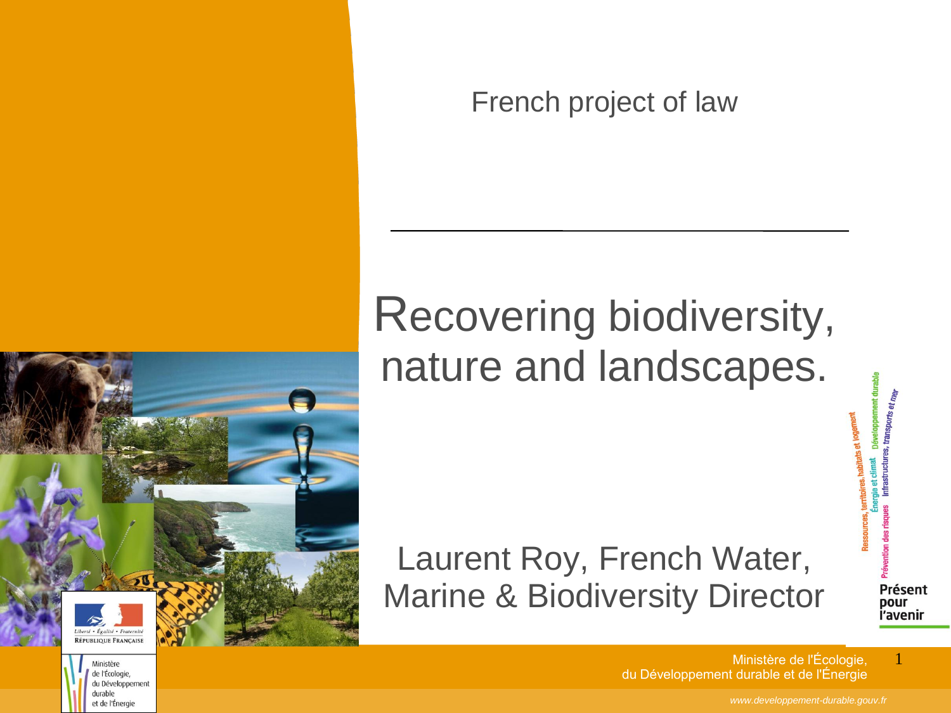French project of law

#### Recovering biodiversity, nature and landscapes.

Laurent Roy, French Water, Marine & Biodiversity Director

sectó + Énglisé + Fratornic RÉPUBLIQUE FRANÇAISE

> Ministère de l'Écologie, du Développement durable et de l'Énergie

Ministère de l'Écologie, du Développement durable et de l'Énergie 1

Présent pour l'avenir

tats et logs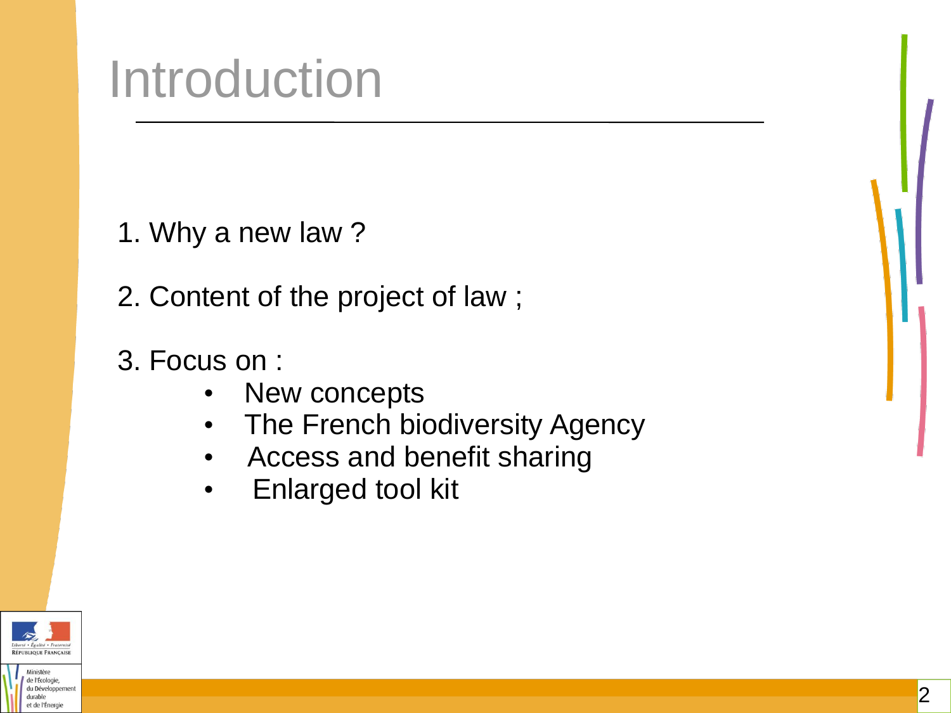## Introduction

1. Why a new law ?

2. Content of the project of law ;

- 3. Focus on :
	- New concepts
	- The French biodiversity Agency
	- Access and benefit sharing
	- Enlarged tool kit



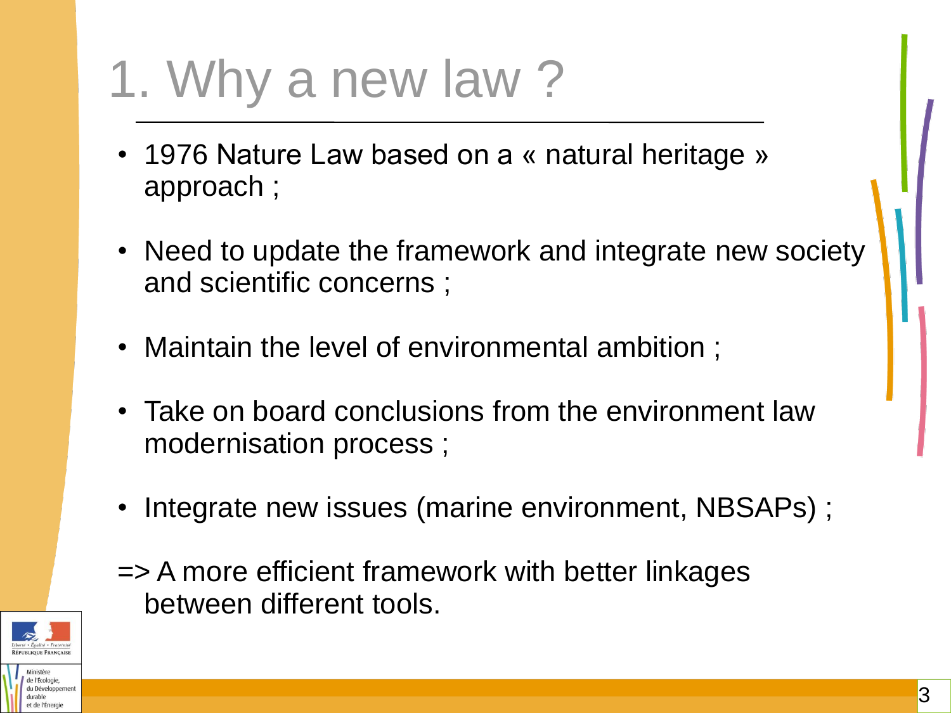# 1. Why a new law ?

- 1976 Nature Law based on a « natural heritage » approach ;
- Need to update the framework and integrate new society and scientific concerns ;
- Maintain the level of environmental ambition ;
- Take on board conclusions from the environment law modernisation process ;
- Integrate new issues (marine environment, NBSAPs) ;

=> A more efficient framework with better linkages between different tools.

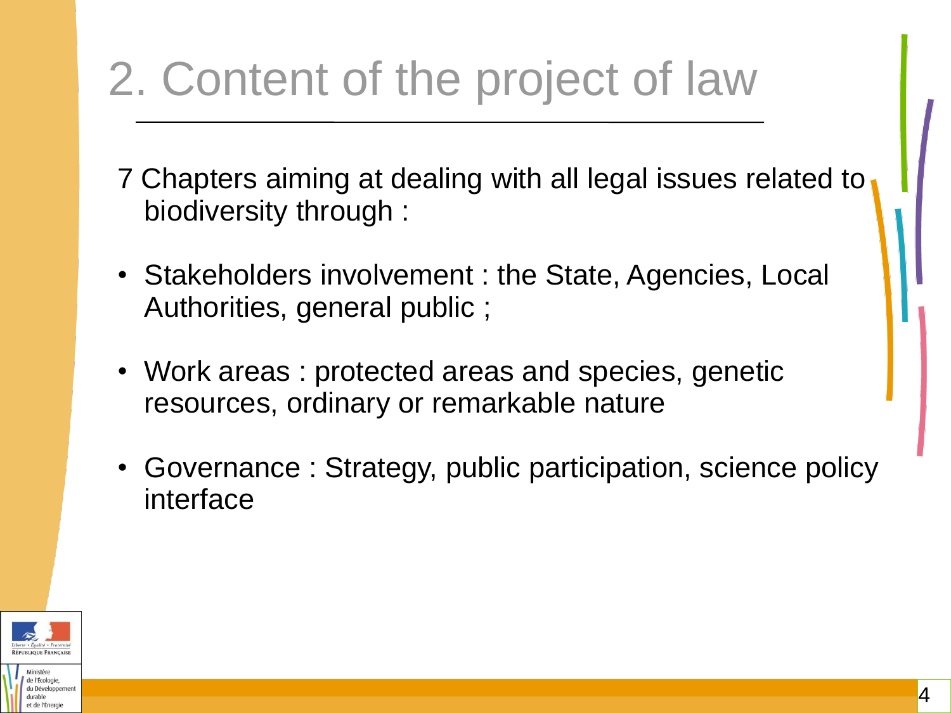### 2. Content of the project of law

- 7 Chapters aiming at dealing with all legal issues related to biodiversity through :
- Stakeholders involvement : the State, Agencies, Local Authorities, general public ;
- Work areas : protected areas and species, genetic resources, ordinary or remarkable nature
- Governance : Strategy, public participation, science policy interface

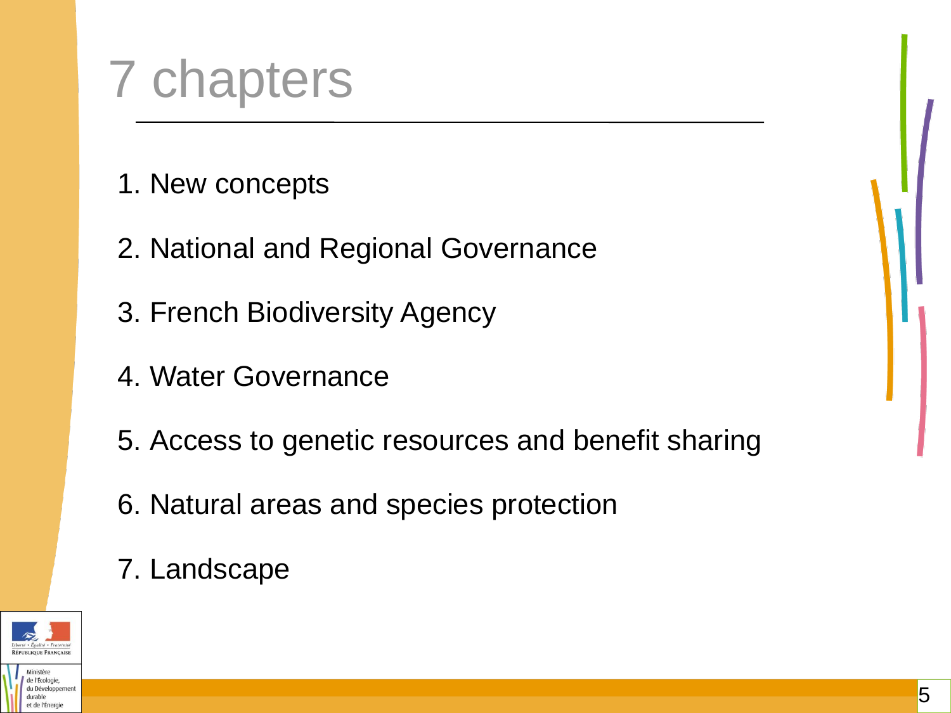## 7 chapters

- 1. New concepts
- 2. National and Regional Governance
- 3. French Biodiversity Agency
- 4. Water Governance
- 5. Access to genetic resources and benefit sharing
- 6. Natural areas and species protection

#### 7. Landscape



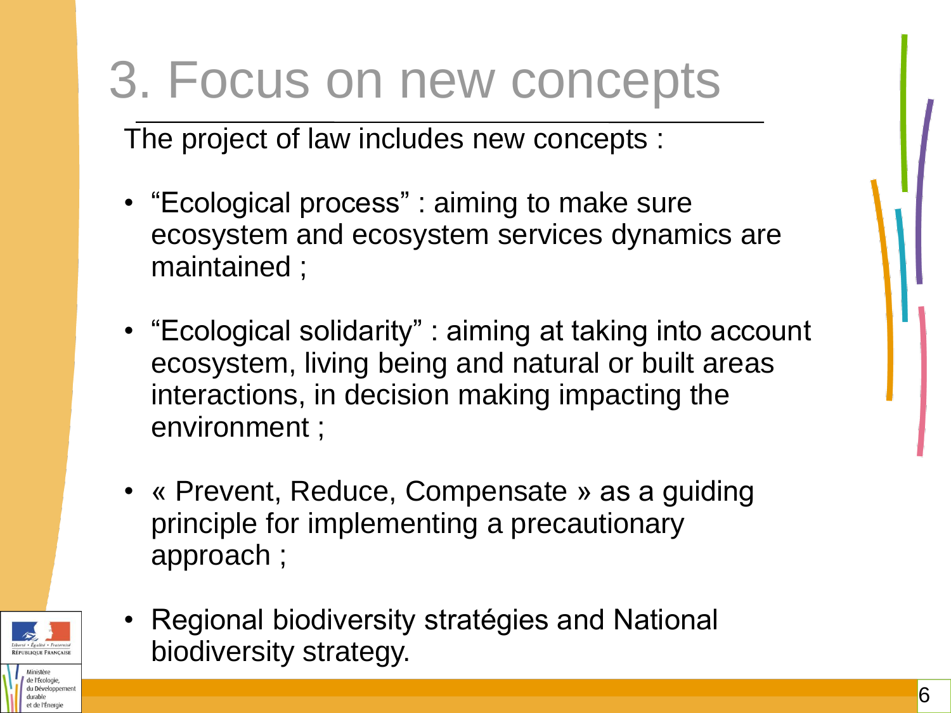### 3. Focus on new concepts

The project of law includes new concepts :

- "Ecological process" : aiming to make sure ecosystem and ecosystem services dynamics are maintained ;
- "Ecological solidarity" : aiming at taking into account ecosystem, living being and natural or built areas interactions, in decision making impacting the environment ;
- « Prevent, Reduce, Compensate » as a guiding principle for implementing a precautionary approach ;



• Regional biodiversity stratégies and National biodiversity strategy.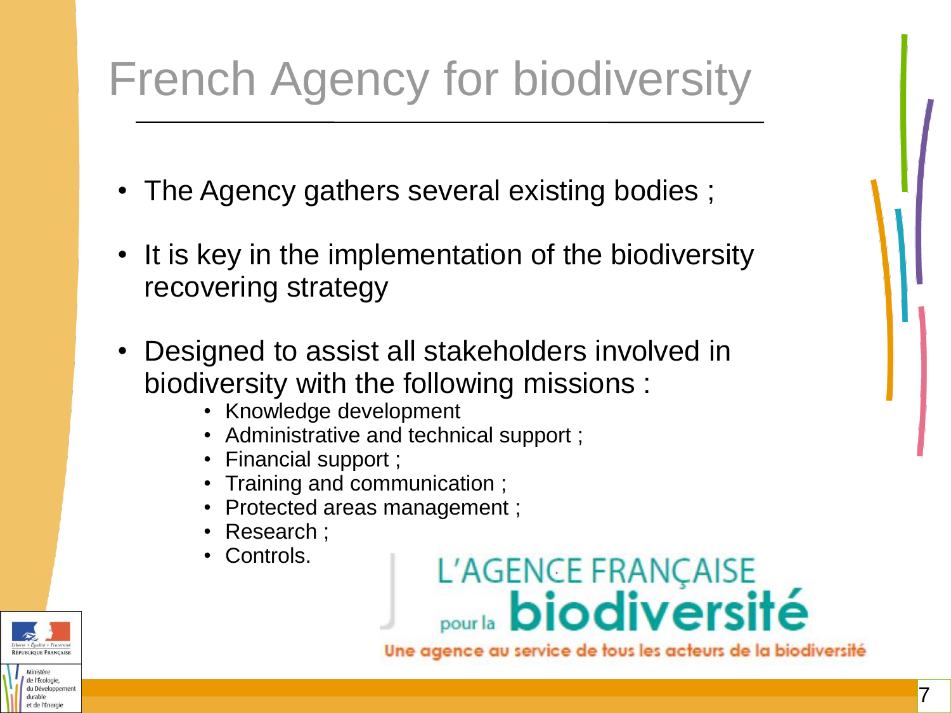### French Agency for biodiversity

- The Agency gathers several existing bodies ;
- It is key in the implementation of the biodiversity recovering strategy
- Designed to assist all stakeholders involved in biodiversity with the following missions :
	- Knowledge development
	- Administrative and technical support ;
	- Financial support ;
	- Training and communication ;
	- Protected areas management ;
	- Research ;
	- Controls.



et de l'Énergi



Une agence au service de tous les acteurs de la biodiversité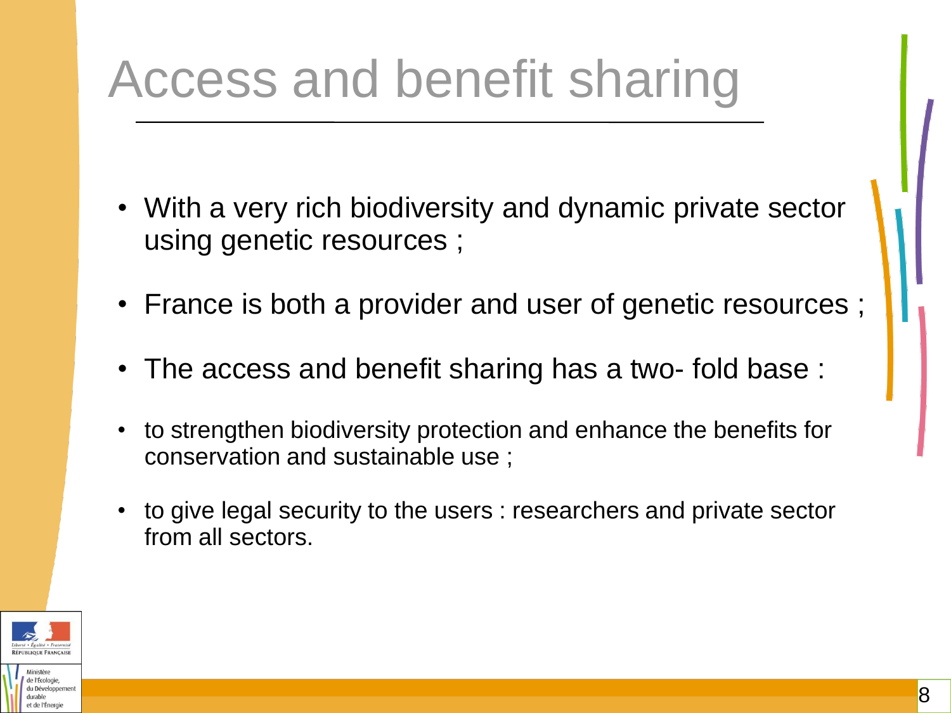## Access and benefit sharing

- With a very rich biodiversity and dynamic private sector using genetic resources ;
- France is both a provider and user of genetic resources ;
- The access and benefit sharing has a two- fold base :
- to strengthen biodiversity protection and enhance the benefits for conservation and sustainable use ;
- to give legal security to the users : researchers and private sector from all sectors.



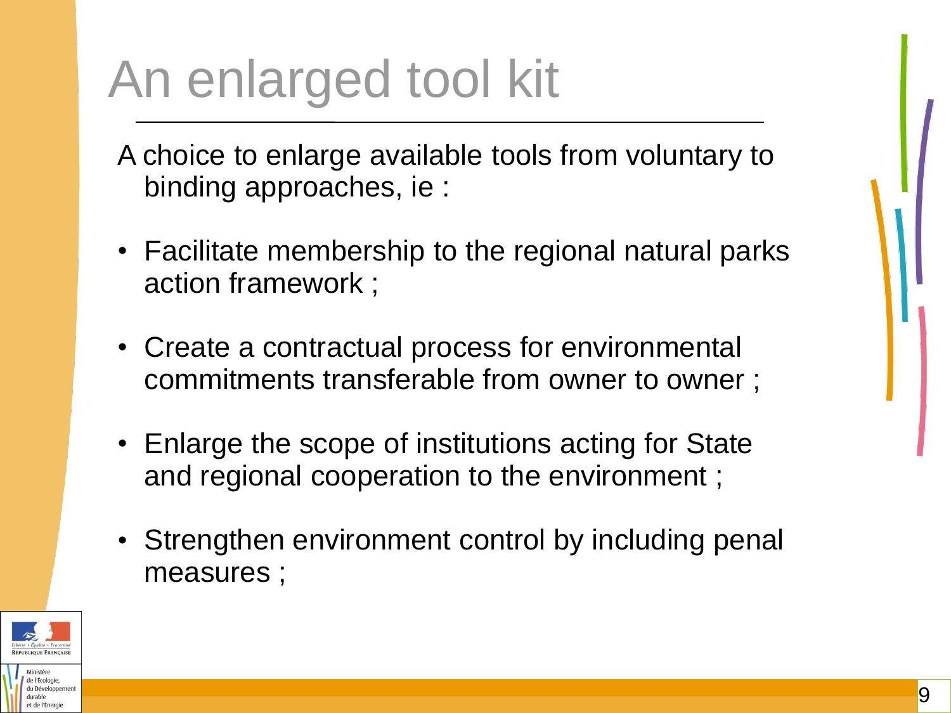## An enlarged tool kit

A choice to enlarge available tools from voluntary to binding approaches, ie :

- Facilitate membership to the regional natural parks action framework ;
- Create a contractual process for environmental commitments transferable from owner to owner;
- Enlarge the scope of institutions acting for State and regional cooperation to the environment ;
- Strengthen environment control by including penal measures ;

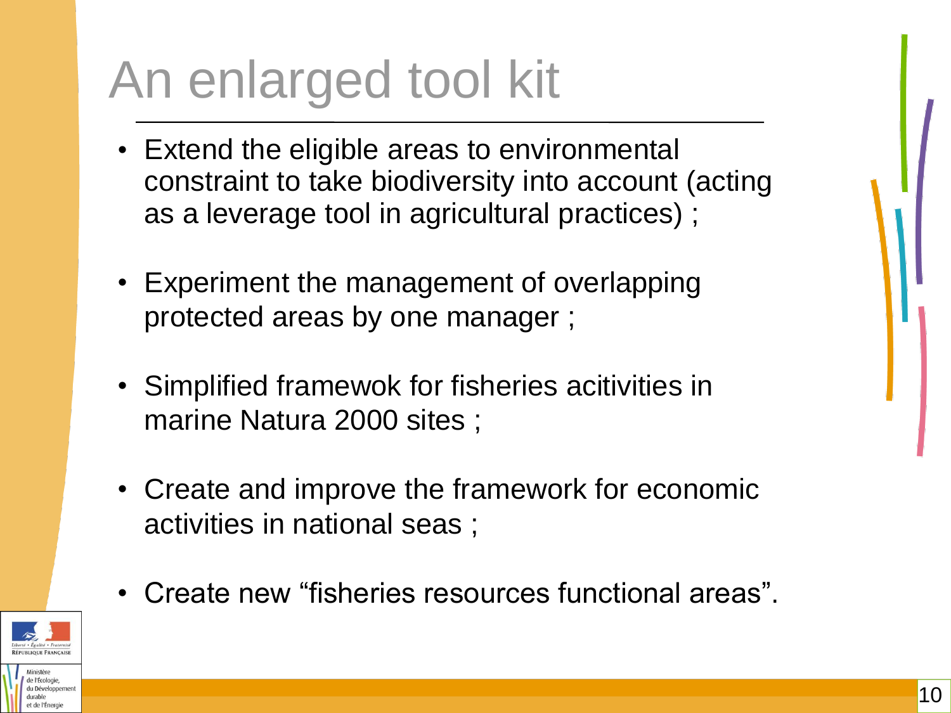# An enlarged tool kit

- Extend the eligible areas to environmental constraint to take biodiversity into account (acting as a leverage tool in agricultural practices) ;
- Experiment the management of overlapping protected areas by one manager ;
- Simplified framewok for fisheries acitivities in marine Natura 2000 sites ;
- Create and improve the framework for economic activities in national seas ;
- Create new "fisheries resources functional areas".